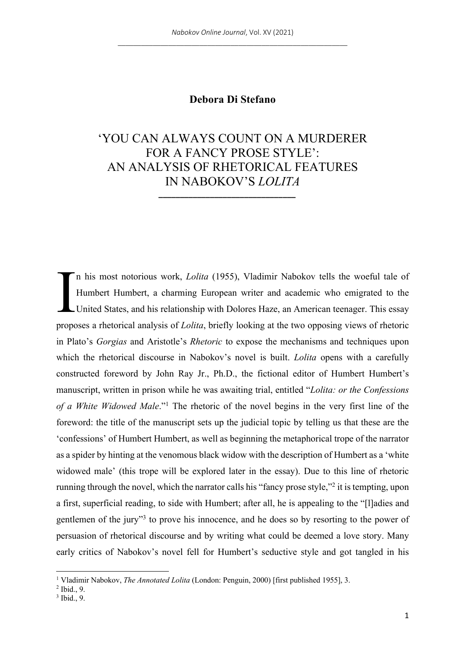## **Debora Di Stefano**

## 'YOU CAN ALWAYS COUNT ON A MURDERER FOR A FANCY PROSE STYLE': AN ANALYSIS OF RHETORICAL FEATURES IN NABOKOV'S *LOLITA*

**\_\_\_\_\_\_\_\_\_\_\_\_\_\_\_\_\_\_\_\_\_\_\_\_\_\_\_\_\_\_\_\_**

n his most notorious work, *Lolita* (1955), Vladimir Nabokov tells the woeful tale of Humbert Humbert, a charming European writer and academic who emigrated to the United States, and his relationship with Dolores Haze, an American teenager. This essay proposes a rhetorical analysis of *Lolita*, briefly looking at the two opposing views of rhetoric in Plato's *Gorgias* and Aristotle's *Rhetoric* to expose the mechanisms and techniques upon which the rhetorical discourse in Nabokov's novel is built. *Lolita* opens with a carefully constructed foreword by John Ray Jr., Ph.D., the fictional editor of Humbert Humbert's manuscript, written in prison while he was awaiting trial, entitled "*Lolita: or the Confessions of a White Widowed Male*."1 The rhetoric of the novel begins in the very first line of the foreword: the title of the manuscript sets up the judicial topic by telling us that these are the 'confessions' of Humbert Humbert, as well as beginning the metaphorical trope of the narrator as a spider by hinting at the venomous black widow with the description of Humbert as a 'white widowed male' (this trope will be explored later in the essay). Due to this line of rhetoric running through the novel, which the narrator calls his "fancy prose style,"2 it is tempting, upon a first, superficial reading, to side with Humbert; after all, he is appealing to the "[l]adies and gentlemen of the jury"3 to prove his innocence, and he does so by resorting to the power of persuasion of rhetorical discourse and by writing what could be deemed a love story. Many early critics of Nabokov's novel fell for Humbert's seductive style and got tangled in his I

<sup>1</sup> Vladimir Nabokov, *The Annotated Lolita* (London: Penguin, 2000) [first published 1955], 3.

<sup>2</sup> Ibid., 9.

<sup>3</sup> Ibid., 9.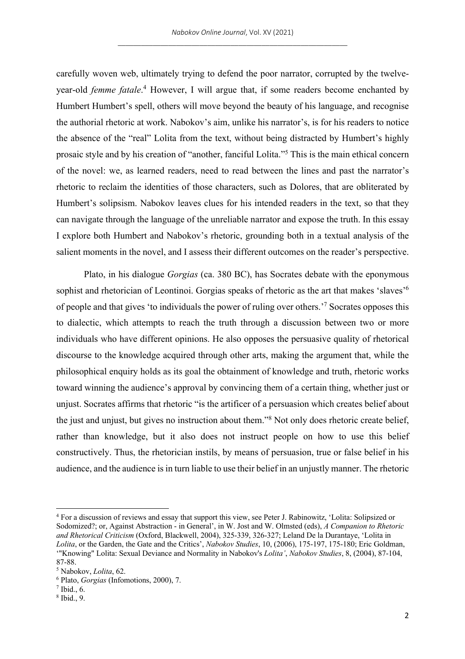carefully woven web, ultimately trying to defend the poor narrator, corrupted by the twelveyear-old *femme fatale*. <sup>4</sup> However, I will argue that, if some readers become enchanted by Humbert Humbert's spell, others will move beyond the beauty of his language, and recognise the authorial rhetoric at work. Nabokov's aim, unlike his narrator's, is for his readers to notice the absence of the "real" Lolita from the text, without being distracted by Humbert's highly prosaic style and by his creation of "another, fanciful Lolita."5 This is the main ethical concern of the novel: we, as learned readers, need to read between the lines and past the narrator's rhetoric to reclaim the identities of those characters, such as Dolores, that are obliterated by Humbert's solipsism. Nabokov leaves clues for his intended readers in the text, so that they can navigate through the language of the unreliable narrator and expose the truth. In this essay I explore both Humbert and Nabokov's rhetoric, grounding both in a textual analysis of the salient moments in the novel, and I assess their different outcomes on the reader's perspective.

Plato, in his dialogue *Gorgias* (ca. 380 BC), has Socrates debate with the eponymous sophist and rhetorician of Leontinoi. Gorgias speaks of rhetoric as the art that makes 'slaves'<sup>6</sup> of people and that gives 'to individuals the power of ruling over others.'7 Socrates opposes this to dialectic, which attempts to reach the truth through a discussion between two or more individuals who have different opinions. He also opposes the persuasive quality of rhetorical discourse to the knowledge acquired through other arts, making the argument that, while the philosophical enquiry holds as its goal the obtainment of knowledge and truth, rhetoric works toward winning the audience's approval by convincing them of a certain thing, whether just or unjust. Socrates affirms that rhetoric "is the artificer of a persuasion which creates belief about the just and unjust, but gives no instruction about them."8 Not only does rhetoric create belief, rather than knowledge, but it also does not instruct people on how to use this belief constructively. Thus, the rhetorician instils, by means of persuasion, true or false belief in his audience, and the audience is in turn liable to use their belief in an unjustly manner. The rhetoric

<sup>4</sup> For a discussion of reviews and essay that support this view, see Peter J. Rabinowitz, 'Lolita: Solipsized or Sodomized?; or, Against Abstraction - in General', in W. Jost and W. Olmsted (eds), *A Companion to Rhetoric and Rhetorical Criticism* (Oxford, Blackwell, 2004), 325-339, 326-327; Leland De la Durantaye, 'Lolita in *Lolita*, or the Garden, the Gate and the Critics', *Nabokov Studies*, 10, (2006), 175-197, 175-180; Eric Goldman, '"Knowing" Lolita: Sexual Deviance and Normality in Nabokov's *Lolita'*, *Nabokov Studies*, 8, (2004), 87-104, 87-88.

<sup>5</sup> Nabokov, *Lolita*, 62.

<sup>6</sup> Plato, *Gorgias* (Infomotions, 2000), 7.

<sup>7</sup> Ibid., 6.

<sup>8</sup> Ibid., 9.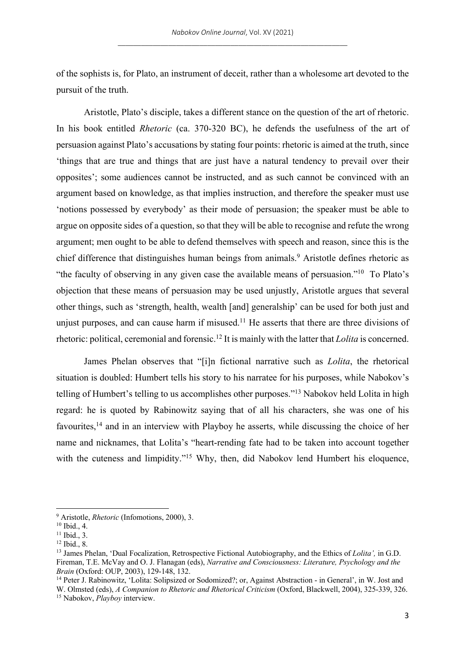of the sophists is, for Plato, an instrument of deceit, rather than a wholesome art devoted to the pursuit of the truth.

Aristotle, Plato's disciple, takes a different stance on the question of the art of rhetoric. In his book entitled *Rhetoric* (ca. 370-320 BC), he defends the usefulness of the art of persuasion against Plato's accusations by stating four points: rhetoric is aimed at the truth, since 'things that are true and things that are just have a natural tendency to prevail over their opposites'; some audiences cannot be instructed, and as such cannot be convinced with an argument based on knowledge, as that implies instruction, and therefore the speaker must use 'notions possessed by everybody' as their mode of persuasion; the speaker must be able to argue on opposite sides of a question, so that they will be able to recognise and refute the wrong argument; men ought to be able to defend themselves with speech and reason, since this is the chief difference that distinguishes human beings from animals.<sup>9</sup> Aristotle defines rhetoric as "the faculty of observing in any given case the available means of persuasion."10 To Plato's objection that these means of persuasion may be used unjustly, Aristotle argues that several other things, such as 'strength, health, wealth [and] generalship' can be used for both just and unjust purposes, and can cause harm if misused.<sup>11</sup> He asserts that there are three divisions of rhetoric: political, ceremonial and forensic. <sup>12</sup> It is mainly with the latter that *Lolita* is concerned.

James Phelan observes that "[i]n fictional narrative such as *Lolita*, the rhetorical situation is doubled: Humbert tells his story to his narratee for his purposes, while Nabokov's telling of Humbert's telling to us accomplishes other purposes."13 Nabokov held Lolita in high regard: he is quoted by Rabinowitz saying that of all his characters, she was one of his favourites,<sup>14</sup> and in an interview with Playboy he asserts, while discussing the choice of her name and nicknames, that Lolita's "heart-rending fate had to be taken into account together with the cuteness and limpidity."<sup>15</sup> Why, then, did Nabokov lend Humbert his eloquence,

<sup>9</sup> Aristotle, *Rhetoric* (Infomotions, 2000), 3.

 $10$  Ibid., 4.

 $11$  Ibid., 3.

<sup>12</sup> Ibid., 8.

<sup>13</sup> James Phelan, 'Dual Focalization, Retrospective Fictional Autobiography, and the Ethics of *Lolita',* in G.D. Fireman, T.E. McVay and O. J. Flanagan (eds), *Narrative and Consciousness: Literature, Psychology and the Brain* (Oxford: OUP, 2003), 129-148, 132.

<sup>14</sup> Peter J. Rabinowitz, 'Lolita: Solipsized or Sodomized?; or, Against Abstraction - in General', in W. Jost and W. Olmsted (eds), *A Companion to Rhetoric and Rhetorical Criticism* (Oxford, Blackwell, 2004), 325-339, 326.

<sup>15</sup> Nabokov, *Playboy* interview.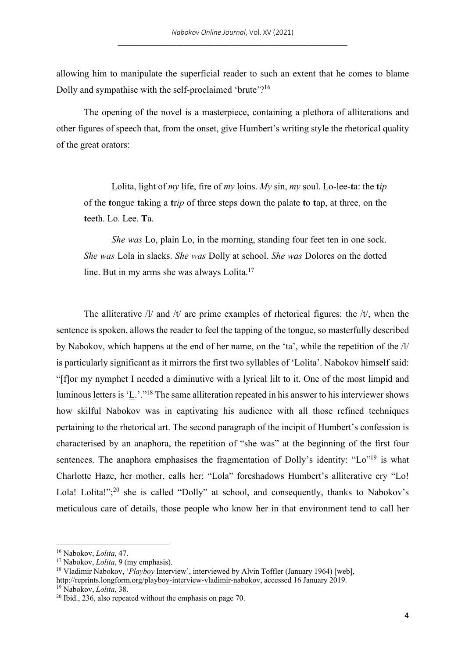allowing him to manipulate the superficial reader to such an extent that he comes to blame Dolly and sympathise with the self-proclaimed 'brute'?16

The opening of the novel is a masterpiece, containing a plethora of alliterations and other figures of speech that, from the onset, give Humbert's writing style the rhetorical quality of the great orators:

Lolita, light of *my* life, fire of *my* loins. *My* sin, *my* soul. Lo-lee-**t**a: the **t***ip* of the **t**ongue **t**aking a **t**r*ip* of three steps down the palate **t**o **t**ap, at three, on the **t**eeth. Lo. Lee. **T**a.

*She was* Lo, plain Lo, in the morning, standing four feet ten in one sock. *She was* Lola in slacks. *She was* Dolly at school. *She was* Dolores on the dotted line. But in my arms she was always Lolita.<sup>17</sup>

The alliterative  $\frac{1}{a}$  and  $\frac{1}{b}$  are prime examples of rhetorical figures: the  $\frac{1}{b}$ , when the sentence is spoken, allows the reader to feel the tapping of the tongue, so masterfully described by Nabokov, which happens at the end of her name, on the 'ta', while the repetition of the /l/ is particularly significant as it mirrors the first two syllables of 'Lolita'. Nabokov himself said: "[f]or my nymphet I needed a diminutive with a lyrical lilt to it. One of the most limpid and luminous letters is 'L.'."18 The same alliteration repeated in his answer to his interviewer shows how skilful Nabokov was in captivating his audience with all those refined techniques pertaining to the rhetorical art. The second paragraph of the incipit of Humbert's confession is characterised by an anaphora, the repetition of "she was" at the beginning of the first four sentences. The anaphora emphasises the fragmentation of Dolly's identity: "Lo"<sup>19</sup> is what Charlotte Haze, her mother, calls her; "Lola" foreshadows Humbert's alliterative cry "Lo! Lola! Lolita!";<sup>20</sup> she is called "Dolly" at school, and consequently, thanks to Nabokov's meticulous care of details, those people who know her in that environment tend to call her

<sup>16</sup> Nabokov, *Lolita*, 47.

<sup>17</sup> Nabokov, *Lolita*, 9 (my emphasis).

<sup>&</sup>lt;sup>18</sup> Vladimir Nabokov, '*Playboy* Interview', interviewed by Alvin Toffler (January 1964) [web], http://reprints.longform.org/playboy-interview-vladimir-nabokov, accessed 16 January 2019.

<sup>19</sup> Nabokov, *Lolita*, 38.

 $20$  Ibid., 236, also repeated without the emphasis on page 70.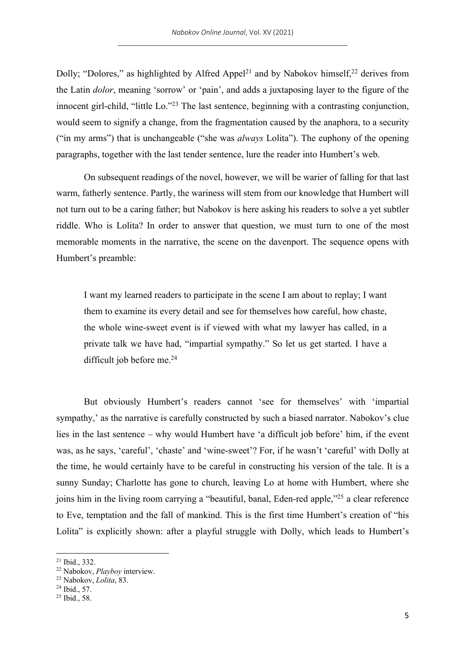Dolly; "Dolores," as highlighted by Alfred Appel<sup>21</sup> and by Nabokov himself,  $2^2$  derives from the Latin *dolor*, meaning 'sorrow' or 'pain', and adds a juxtaposing layer to the figure of the innocent girl-child, "little Lo."23 The last sentence, beginning with a contrasting conjunction, would seem to signify a change, from the fragmentation caused by the anaphora, to a security ("in my arms") that is unchangeable ("she was *always* Lolita"). The euphony of the opening paragraphs, together with the last tender sentence, lure the reader into Humbert's web.

On subsequent readings of the novel, however, we will be warier of falling for that last warm, fatherly sentence. Partly, the wariness will stem from our knowledge that Humbert will not turn out to be a caring father; but Nabokov is here asking his readers to solve a yet subtler riddle. Who is Lolita? In order to answer that question, we must turn to one of the most memorable moments in the narrative, the scene on the davenport. The sequence opens with Humbert's preamble:

I want my learned readers to participate in the scene I am about to replay; I want them to examine its every detail and see for themselves how careful, how chaste, the whole wine-sweet event is if viewed with what my lawyer has called, in a private talk we have had, "impartial sympathy." So let us get started. I have a difficult job before me.<sup>24</sup>

But obviously Humbert's readers cannot 'see for themselves' with 'impartial sympathy,' as the narrative is carefully constructed by such a biased narrator. Nabokov's clue lies in the last sentence – why would Humbert have 'a difficult job before' him, if the event was, as he says, 'careful', 'chaste' and 'wine-sweet'? For, if he wasn't 'careful' with Dolly at the time, he would certainly have to be careful in constructing his version of the tale. It is a sunny Sunday; Charlotte has gone to church, leaving Lo at home with Humbert, where she joins him in the living room carrying a "beautiful, banal, Eden-red apple,"25 a clear reference to Eve, temptation and the fall of mankind. This is the first time Humbert's creation of "his Lolita" is explicitly shown: after a playful struggle with Dolly, which leads to Humbert's

<sup>21</sup> Ibid., 332.

<sup>22</sup> Nabokov, *Playboy* interview.

<sup>23</sup> Nabokov, *Lolita*, 83.

<sup>24</sup> Ibid., 57.

<sup>25</sup> Ibid., 58.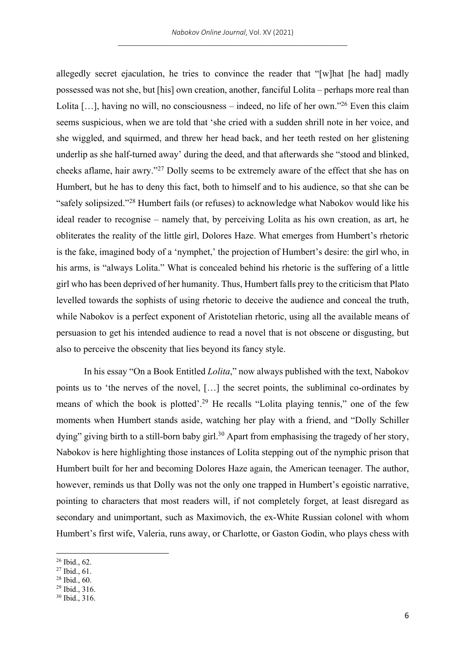allegedly secret ejaculation, he tries to convince the reader that "[w]hat [he had] madly possessed was not she, but [his] own creation, another, fanciful Lolita – perhaps more real than Lolita  $[\dots]$ , having no will, no consciousness – indeed, no life of her own."<sup>26</sup> Even this claim seems suspicious, when we are told that 'she cried with a sudden shrill note in her voice, and she wiggled, and squirmed, and threw her head back, and her teeth rested on her glistening underlip as she half-turned away' during the deed, and that afterwards she "stood and blinked, cheeks aflame, hair awry."27 Dolly seems to be extremely aware of the effect that she has on Humbert, but he has to deny this fact, both to himself and to his audience, so that she can be "safely solipsized."28 Humbert fails (or refuses) to acknowledge what Nabokov would like his ideal reader to recognise – namely that, by perceiving Lolita as his own creation, as art, he obliterates the reality of the little girl, Dolores Haze. What emerges from Humbert's rhetoric is the fake, imagined body of a 'nymphet,' the projection of Humbert's desire: the girl who, in his arms, is "always Lolita." What is concealed behind his rhetoric is the suffering of a little girl who has been deprived of her humanity. Thus, Humbert falls prey to the criticism that Plato levelled towards the sophists of using rhetoric to deceive the audience and conceal the truth, while Nabokov is a perfect exponent of Aristotelian rhetoric, using all the available means of persuasion to get his intended audience to read a novel that is not obscene or disgusting, but also to perceive the obscenity that lies beyond its fancy style.

In his essay "On a Book Entitled *Lolita*," now always published with the text, Nabokov points us to 'the nerves of the novel, […] the secret points, the subliminal co-ordinates by means of which the book is plotted'.29 He recalls "Lolita playing tennis," one of the few moments when Humbert stands aside, watching her play with a friend, and "Dolly Schiller dying" giving birth to a still-born baby girl.<sup>30</sup> Apart from emphasising the tragedy of her story, Nabokov is here highlighting those instances of Lolita stepping out of the nymphic prison that Humbert built for her and becoming Dolores Haze again, the American teenager. The author, however, reminds us that Dolly was not the only one trapped in Humbert's egoistic narrative, pointing to characters that most readers will, if not completely forget, at least disregard as secondary and unimportant, such as Maximovich, the ex-White Russian colonel with whom Humbert's first wife, Valeria, runs away, or Charlotte, or Gaston Godin, who plays chess with

- <sup>28</sup> Ibid., 60.
- <sup>29</sup> Ibid., 316.

<sup>26</sup> Ibid., 62.

<sup>27</sup> Ibid., 61.

<sup>30</sup> Ibid., 316.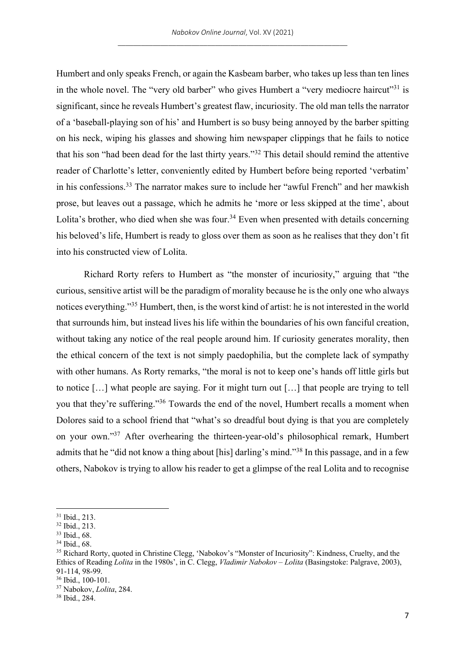Humbert and only speaks French, or again the Kasbeam barber, who takes up less than ten lines in the whole novel. The "very old barber" who gives Humbert a "very mediocre haircut"<sup>31</sup> is significant, since he reveals Humbert's greatest flaw, incuriosity. The old man tells the narrator of a 'baseball-playing son of his' and Humbert is so busy being annoyed by the barber spitting on his neck, wiping his glasses and showing him newspaper clippings that he fails to notice that his son "had been dead for the last thirty years."32 This detail should remind the attentive reader of Charlotte's letter, conveniently edited by Humbert before being reported 'verbatim' in his confessions.33 The narrator makes sure to include her "awful French" and her mawkish prose, but leaves out a passage, which he admits he 'more or less skipped at the time', about Lolita's brother, who died when she was four.<sup>34</sup> Even when presented with details concerning his beloved's life, Humbert is ready to gloss over them as soon as he realises that they don't fit into his constructed view of Lolita.

Richard Rorty refers to Humbert as "the monster of incuriosity," arguing that "the curious, sensitive artist will be the paradigm of morality because he is the only one who always notices everything."35 Humbert, then, is the worst kind of artist: he is not interested in the world that surrounds him, but instead lives his life within the boundaries of his own fanciful creation, without taking any notice of the real people around him. If curiosity generates morality, then the ethical concern of the text is not simply paedophilia, but the complete lack of sympathy with other humans. As Rorty remarks, "the moral is not to keep one's hands off little girls but to notice […] what people are saying. For it might turn out […] that people are trying to tell you that they're suffering."36 Towards the end of the novel, Humbert recalls a moment when Dolores said to a school friend that "what's so dreadful bout dying is that you are completely on your own."37 After overhearing the thirteen-year-old's philosophical remark, Humbert admits that he "did not know a thing about [his] darling's mind."38 In this passage, and in a few others, Nabokov is trying to allow his reader to get a glimpse of the real Lolita and to recognise

<sup>31</sup> Ibid., 213.

<sup>32</sup> Ibid., 213.

<sup>33</sup> Ibid., 68.

<sup>34</sup> Ibid., 68.

<sup>&</sup>lt;sup>35</sup> Richard Rorty, quoted in Christine Clegg, 'Nabokov's "Monster of Incuriosity": Kindness, Cruelty, and the Ethics of Reading *Lolita* in the 1980s', in C. Clegg, *Vladimir Nabokov – Lolita* (Basingstoke: Palgrave, 2003), 91-114, 98-99.

 $36$  Ibid.,  $100-101$ .

<sup>37</sup> Nabokov, *Lolita*, 284.

<sup>38</sup> Ibid., 284.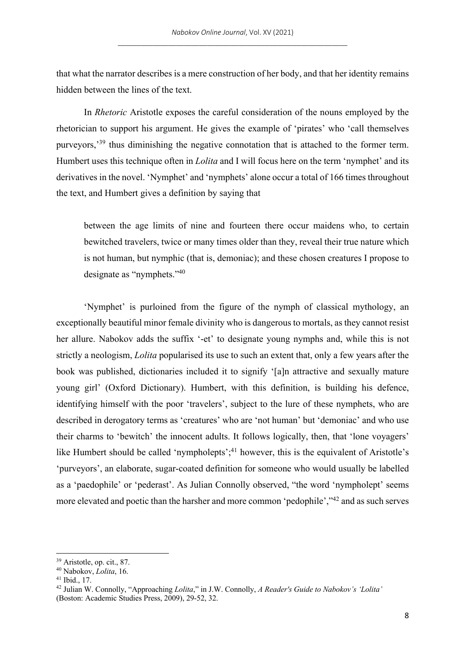that what the narrator describes is a mere construction of her body, and that her identity remains hidden between the lines of the text.

In *Rhetoric* Aristotle exposes the careful consideration of the nouns employed by the rhetorician to support his argument. He gives the example of 'pirates' who 'call themselves purveyors,<sup>39</sup> thus diminishing the negative connotation that is attached to the former term. Humbert uses this technique often in *Lolita* and I will focus here on the term 'nymphet' and its derivatives in the novel. 'Nymphet' and 'nymphets' alone occur a total of 166 times throughout the text, and Humbert gives a definition by saying that

between the age limits of nine and fourteen there occur maidens who, to certain bewitched travelers, twice or many times older than they, reveal their true nature which is not human, but nymphic (that is, demoniac); and these chosen creatures I propose to designate as "nymphets."40

'Nymphet' is purloined from the figure of the nymph of classical mythology, an exceptionally beautiful minor female divinity who is dangerous to mortals, as they cannot resist her allure. Nabokov adds the suffix '-et' to designate young nymphs and, while this is not strictly a neologism, *Lolita* popularised its use to such an extent that, only a few years after the book was published, dictionaries included it to signify '[a]n attractive and sexually mature young girl' (Oxford Dictionary). Humbert, with this definition, is building his defence, identifying himself with the poor 'travelers', subject to the lure of these nymphets, who are described in derogatory terms as 'creatures' who are 'not human' but 'demoniac' and who use their charms to 'bewitch' the innocent adults. It follows logically, then, that 'lone voyagers' like Humbert should be called 'nympholepts';<sup>41</sup> however, this is the equivalent of Aristotle's 'purveyors', an elaborate, sugar-coated definition for someone who would usually be labelled as a 'paedophile' or 'pederast'. As Julian Connolly observed, "the word 'nympholept' seems more elevated and poetic than the harsher and more common 'pedophile',"42 and as such serves

<sup>39</sup> Aristotle, op. cit., 87.

<sup>40</sup> Nabokov, *Lolita*, 16.

<sup>41</sup> Ibid., 17.

<sup>42</sup> Julian W. Connolly, "Approaching *Lolita*," in J.W. Connolly, *A Reader's Guide to Nabokov's 'Lolita'* (Boston: Academic Studies Press, 2009), 29-52, 32.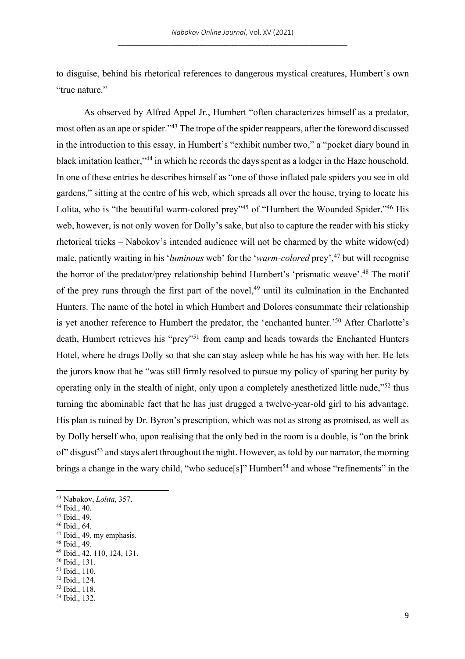to disguise, behind his rhetorical references to dangerous mystical creatures, Humbert's own "true nature."

As observed by Alfred Appel Jr., Humbert "often characterizes himself as a predator, most often as an ape or spider."43 The trope of the spider reappears, after the foreword discussed in the introduction to this essay, in Humbert's "exhibit number two," a "pocket diary bound in black imitation leather,"44 in which he records the days spent as a lodger in the Haze household. In one of these entries he describes himself as "one of those inflated pale spiders you see in old gardens," sitting at the centre of his web, which spreads all over the house, trying to locate his Lolita, who is "the beautiful warm-colored prey"<sup>45</sup> of "Humbert the Wounded Spider."<sup>46</sup> His web, however, is not only woven for Dolly's sake, but also to capture the reader with his sticky rhetorical tricks – Nabokov's intended audience will not be charmed by the white widow(ed) male, patiently waiting in his '*luminous* web' for the '*warm-colored* prey',47 but will recognise the horror of the predator/prey relationship behind Humbert's 'prismatic weave'.48 The motif of the prey runs through the first part of the novel,<sup>49</sup> until its culmination in the Enchanted Hunters. The name of the hotel in which Humbert and Dolores consummate their relationship is yet another reference to Humbert the predator, the 'enchanted hunter.'50 After Charlotte's death, Humbert retrieves his "prey"51 from camp and heads towards the Enchanted Hunters Hotel, where he drugs Dolly so that she can stay asleep while he has his way with her. He lets the jurors know that he "was still firmly resolved to pursue my policy of sparing her purity by operating only in the stealth of night, only upon a completely anesthetized little nude,"52 thus turning the abominable fact that he has just drugged a twelve-year-old girl to his advantage. His plan is ruined by Dr. Byron's prescription, which was not as strong as promised, as well as by Dolly herself who, upon realising that the only bed in the room is a double, is "on the brink  $\sigma$ <sup>o</sup> disgust<sup>53</sup> and stays alert throughout the night. However, as told by our narrator, the morning brings a change in the wary child, "who seduce[s]" Humbert<sup>54</sup> and whose "refinements" in the

<sup>50</sup> Ibid., 131.

<sup>43</sup> Nabokov, *Lolita*, 357.

<sup>44</sup> Ibid., 40.

<sup>45</sup> Ibid., 49. <sup>46</sup> Ibid., 64.

<sup>47</sup> Ibid., 49, my emphasis. <sup>48</sup> Ibid., 49.

<sup>49</sup> Ibid., 42, 110, 124, 131.

<sup>51</sup> Ibid., 110.

<sup>52</sup> Ibid., 124.

<sup>53</sup> Ibid., 118.

<sup>54</sup> Ibid., 132.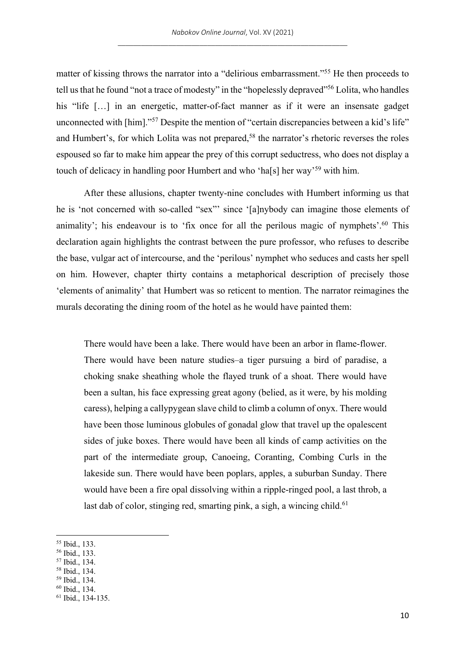matter of kissing throws the narrator into a "delirious embarrassment."55 He then proceeds to tell us that he found "not a trace of modesty" in the "hopelessly depraved"56 Lolita, who handles his "life [...] in an energetic, matter-of-fact manner as if it were an insensate gadget unconnected with [him]."<sup>57</sup> Despite the mention of "certain discrepancies between a kid's life" and Humbert's, for which Lolita was not prepared,<sup>58</sup> the narrator's rhetoric reverses the roles espoused so far to make him appear the prey of this corrupt seductress, who does not display a touch of delicacy in handling poor Humbert and who 'ha[s] her way'59 with him.

After these allusions, chapter twenty-nine concludes with Humbert informing us that he is 'not concerned with so-called "sex"' since '[a]nybody can imagine those elements of animality'; his endeavour is to 'fix once for all the perilous magic of nymphets'.<sup>60</sup> This declaration again highlights the contrast between the pure professor, who refuses to describe the base, vulgar act of intercourse, and the 'perilous' nymphet who seduces and casts her spell on him. However, chapter thirty contains a metaphorical description of precisely those 'elements of animality' that Humbert was so reticent to mention. The narrator reimagines the murals decorating the dining room of the hotel as he would have painted them:

There would have been a lake. There would have been an arbor in flame-flower. There would have been nature studies–a tiger pursuing a bird of paradise, a choking snake sheathing whole the flayed trunk of a shoat. There would have been a sultan, his face expressing great agony (belied, as it were, by his molding caress), helping a callypygean slave child to climb a column of onyx. There would have been those luminous globules of gonadal glow that travel up the opalescent sides of juke boxes. There would have been all kinds of camp activities on the part of the intermediate group, Canoeing, Coranting, Combing Curls in the lakeside sun. There would have been poplars, apples, a suburban Sunday. There would have been a fire opal dissolving within a ripple-ringed pool, a last throb, a last dab of color, stinging red, smarting pink, a sigh, a wincing child.<sup>61</sup>

- <sup>57</sup> Ibid., 134.
- <sup>58</sup> Ibid., 134.

<sup>55</sup> Ibid., 133.

<sup>56</sup> Ibid., 133.

<sup>59</sup> Ibid., 134.

<sup>60</sup> Ibid., 134.

<sup>61</sup> Ibid., 134-135.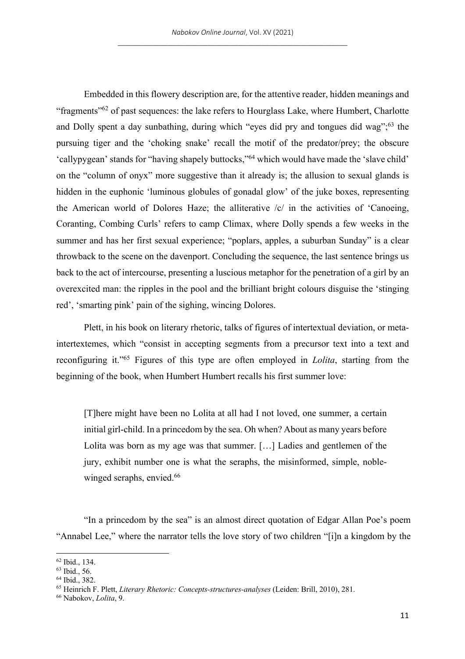Embedded in this flowery description are, for the attentive reader, hidden meanings and "fragments"62 of past sequences: the lake refers to Hourglass Lake, where Humbert, Charlotte and Dolly spent a day sunbathing, during which "eyes did pry and tongues did wag";<sup>63</sup> the pursuing tiger and the 'choking snake' recall the motif of the predator/prey; the obscure 'callypygean' stands for "having shapely buttocks,"64 which would have made the 'slave child' on the "column of onyx" more suggestive than it already is; the allusion to sexual glands is hidden in the euphonic 'luminous globules of gonadal glow' of the juke boxes, representing the American world of Dolores Haze; the alliterative /c/ in the activities of 'Canoeing, Coranting, Combing Curls' refers to camp Climax, where Dolly spends a few weeks in the summer and has her first sexual experience; "poplars, apples, a suburban Sunday" is a clear throwback to the scene on the davenport. Concluding the sequence, the last sentence brings us back to the act of intercourse, presenting a luscious metaphor for the penetration of a girl by an overexcited man: the ripples in the pool and the brilliant bright colours disguise the 'stinging red', 'smarting pink' pain of the sighing, wincing Dolores.

Plett, in his book on literary rhetoric, talks of figures of intertextual deviation, or metaintertextemes, which "consist in accepting segments from a precursor text into a text and reconfiguring it."65 Figures of this type are often employed in *Lolita*, starting from the beginning of the book, when Humbert Humbert recalls his first summer love:

[T]here might have been no Lolita at all had I not loved, one summer, a certain initial girl-child. In a princedom by the sea. Oh when? About as many years before Lolita was born as my age was that summer. […] Ladies and gentlemen of the jury, exhibit number one is what the seraphs, the misinformed, simple, noblewinged seraphs, envied.<sup>66</sup>

"In a princedom by the sea" is an almost direct quotation of Edgar Allan Poe's poem "Annabel Lee," where the narrator tells the love story of two children "[i]n a kingdom by the

<sup>62</sup> Ibid., 134.

<sup>63</sup> Ibid., 56.

<sup>64</sup> Ibid., 382.

<sup>65</sup> Heinrich F. Plett, *Literary Rhetoric: Concepts-structures-analyses* (Leiden: Brill, 2010), 281.

<sup>66</sup> Nabokov, *Lolita*, 9.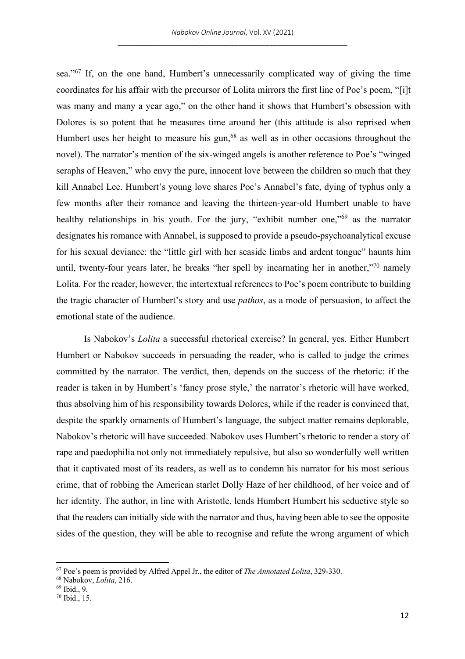sea."67 If, on the one hand, Humbert's unnecessarily complicated way of giving the time coordinates for his affair with the precursor of Lolita mirrors the first line of Poe's poem, "[i]t was many and many a year ago," on the other hand it shows that Humbert's obsession with Dolores is so potent that he measures time around her (this attitude is also reprised when Humbert uses her height to measure his gun,<sup>68</sup> as well as in other occasions throughout the novel). The narrator's mention of the six-winged angels is another reference to Poe's "winged seraphs of Heaven," who envy the pure, innocent love between the children so much that they kill Annabel Lee. Humbert's young love shares Poe's Annabel's fate, dying of typhus only a few months after their romance and leaving the thirteen-year-old Humbert unable to have healthy relationships in his youth. For the jury, "exhibit number one,"<sup>69</sup> as the narrator designates his romance with Annabel, is supposed to provide a pseudo-psychoanalytical excuse for his sexual deviance: the "little girl with her seaside limbs and ardent tongue" haunts him until, twenty-four years later, he breaks "her spell by incarnating her in another,"<sup>70</sup> namely Lolita. For the reader, however, the intertextual references to Poe's poem contribute to building the tragic character of Humbert's story and use *pathos*, as a mode of persuasion, to affect the emotional state of the audience.

Is Nabokov's *Lolita* a successful rhetorical exercise? In general, yes. Either Humbert Humbert or Nabokov succeeds in persuading the reader, who is called to judge the crimes committed by the narrator. The verdict, then, depends on the success of the rhetoric: if the reader is taken in by Humbert's 'fancy prose style,' the narrator's rhetoric will have worked, thus absolving him of his responsibility towards Dolores, while if the reader is convinced that, despite the sparkly ornaments of Humbert's language, the subject matter remains deplorable, Nabokov's rhetoric will have succeeded. Nabokov uses Humbert's rhetoric to render a story of rape and paedophilia not only not immediately repulsive, but also so wonderfully well written that it captivated most of its readers, as well as to condemn his narrator for his most serious crime, that of robbing the American starlet Dolly Haze of her childhood, of her voice and of her identity. The author, in line with Aristotle, lends Humbert Humbert his seductive style so that the readers can initially side with the narrator and thus, having been able to see the opposite sides of the question, they will be able to recognise and refute the wrong argument of which

<sup>67</sup> Poe's poem is provided by Alfred Appel Jr., the editor of *The Annotated Lolita*, 329-330.

<sup>68</sup> Nabokov, *Lolita*, 216.

<sup>69</sup> Ibid., 9.

<sup>70</sup> Ibid., 15.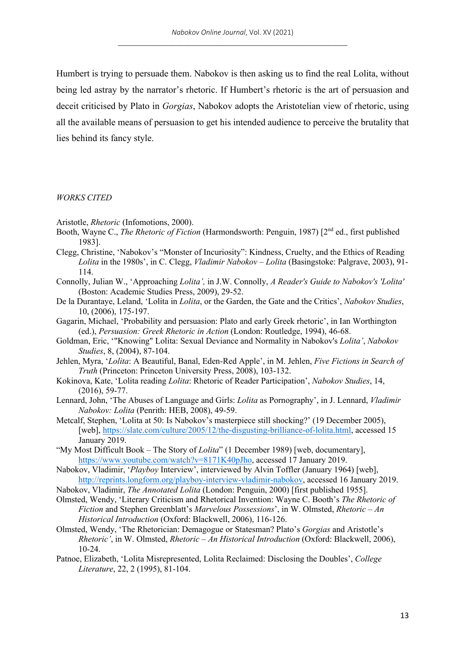Humbert is trying to persuade them. Nabokov is then asking us to find the real Lolita, without being led astray by the narrator's rhetoric. If Humbert's rhetoric is the art of persuasion and deceit criticised by Plato in *Gorgias*, Nabokov adopts the Aristotelian view of rhetoric, using all the available means of persuasion to get his intended audience to perceive the brutality that lies behind its fancy style.

## *WORKS CITED*

- Aristotle, *Rhetoric* (Infomotions, 2000).
- Booth, Wayne C., *The Rhetoric of Fiction* (Harmondsworth: Penguin, 1987) [2<sup>nd</sup> ed., first published 1983].
- Clegg, Christine, 'Nabokov's "Monster of Incuriosity": Kindness, Cruelty, and the Ethics of Reading *Lolita* in the 1980s', in C. Clegg, *Vladimir Nabokov – Lolita* (Basingstoke: Palgrave, 2003), 91- 114.
- Connolly, Julian W., 'Approaching *Lolita',* in J.W. Connolly, *A Reader's Guide to Nabokov's 'Lolita'* (Boston: Academic Studies Press, 2009), 29-52.
- De la Durantaye, Leland, 'Lolita in *Lolita*, or the Garden, the Gate and the Critics', *Nabokov Studies*, 10, (2006), 175-197.
- Gagarin, Michael, 'Probability and persuasion: Plato and early Greek rhetoric', in Ian Worthington (ed.), *Persuasion: Greek Rhetoric in Action* (London: Routledge, 1994), 46-68.
- Goldman, Eric, '"Knowing" Lolita: Sexual Deviance and Normality in Nabokov's *Lolita'*, *Nabokov Studies*, 8, (2004), 87-104.
- Jehlen, Myra, '*Lolita*: A Beautiful, Banal, Eden-Red Apple', in M. Jehlen, *Five Fictions in Search of Truth* (Princeton: Princeton University Press, 2008), 103-132.
- Kokinova, Kate, 'Lolita reading *Lolita*: Rhetoric of Reader Participation', *Nabokov Studies*, 14, (2016), 59-77.
- Lennard, John, 'The Abuses of Language and Girls: *Lolita* as Pornography', in J. Lennard, *Vladimir Nabokov: Lolita* (Penrith: HEB, 2008), 49-59.
- Metcalf, Stephen, 'Lolita at 50: Is Nabokov's masterpiece still shocking?' (19 December 2005), [web], https://slate.com/culture/2005/12/the-disgusting-brilliance-of-lolita.html, accessed 15 January 2019.
- "My Most Difficult Book The Story of *Lolita*" (1 December 1989) [web, documentary], https://www.youtube.com/watch?v=8171K40pJho, accessed 17 January 2019.
- Nabokov, Vladimir, '*Playboy* Interview', interviewed by Alvin Toffler (January 1964) [web], http://reprints.longform.org/playboy-interview-vladimir-nabokov, accessed 16 January 2019.
- Nabokov, Vladimir, *The Annotated Lolita* (London: Penguin, 2000) [first published 1955].
- Olmsted, Wendy, 'Literary Criticism and Rhetorical Invention: Wayne C. Booth's *The Rhetoric of Fiction* and Stephen Greenblatt's *Marvelous Possessions*', in W. Olmsted, *Rhetoric – An Historical Introduction* (Oxford: Blackwell, 2006), 116-126.
- Olmsted, Wendy, 'The Rhetorician: Demagogue or Statesman? Plato's *Gorgias* and Aristotle's *Rhetoric'*, in W. Olmsted, *Rhetoric – An Historical Introduction* (Oxford: Blackwell, 2006), 10-24.
- Patnoe, Elizabeth, 'Lolita Misrepresented, Lolita Reclaimed: Disclosing the Doubles', *College Literature*, 22, 2 (1995), 81-104.